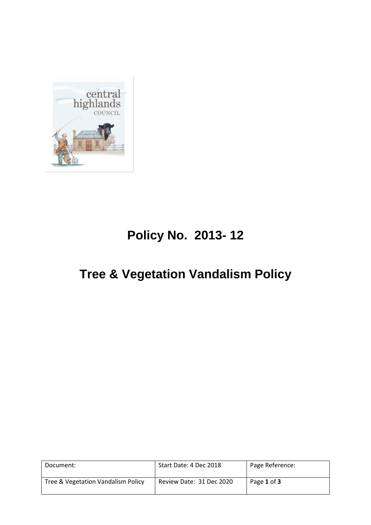

# **Policy No. 2013- 12**

## **Tree & Vegetation Vandalism Policy**

| Document:                          | Start Date: 4 Dec 2018   | Page Reference: |
|------------------------------------|--------------------------|-----------------|
| Tree & Vegetation Vandalism Policy | Review Date: 31 Dec 2020 | Page 1 of 3     |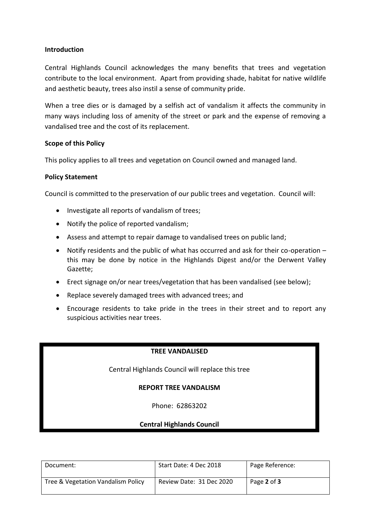### **Introduction**

Central Highlands Council acknowledges the many benefits that trees and vegetation contribute to the local environment. Apart from providing shade, habitat for native wildlife and aesthetic beauty, trees also instil a sense of community pride.

When a tree dies or is damaged by a selfish act of vandalism it affects the community in many ways including loss of amenity of the street or park and the expense of removing a vandalised tree and the cost of its replacement.

### **Scope of this Policy**

This policy applies to all trees and vegetation on Council owned and managed land.

### **Policy Statement**

Council is committed to the preservation of our public trees and vegetation. Council will:

- Investigate all reports of vandalism of trees;
- Notify the police of reported vandalism;
- Assess and attempt to repair damage to vandalised trees on public land;
- Notify residents and the public of what has occurred and ask for their co-operation this may be done by notice in the Highlands Digest and/or the Derwent Valley Gazette;
- Erect signage on/or near trees/vegetation that has been vandalised (see below);
- Replace severely damaged trees with advanced trees; and
- Encourage residents to take pride in the trees in their street and to report any suspicious activities near trees.

## **TREE VANDALISED**

Central Highlands Council will replace this tree

#### **REPORT TREE VANDALISM**

Phone: 62863202

## **Central Highlands Council**

| Document:                          | Start Date: 4 Dec 2018   | Page Reference: |
|------------------------------------|--------------------------|-----------------|
| Tree & Vegetation Vandalism Policy | Review Date: 31 Dec 2020 | Page 2 of 3     |